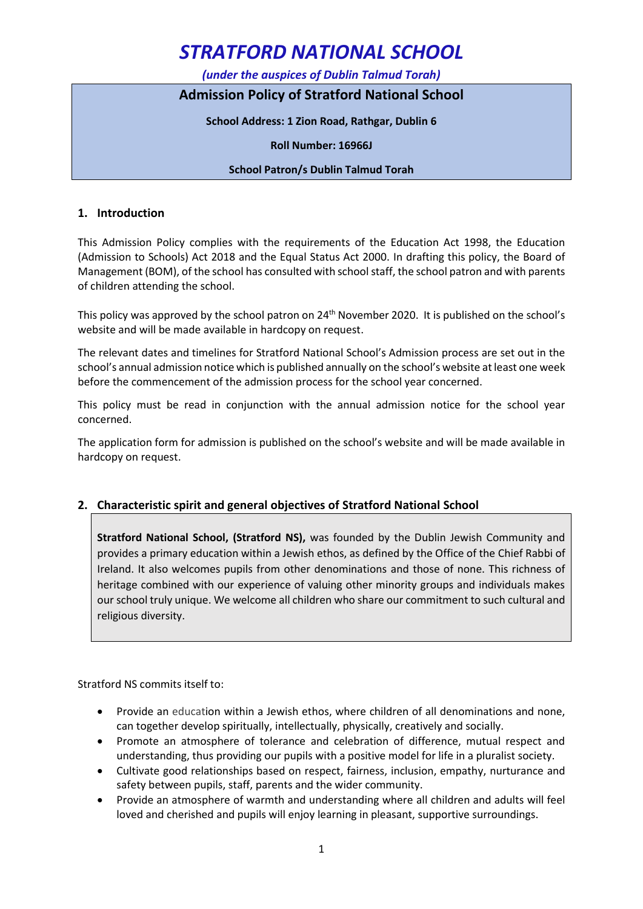*(under the auspices of Dublin Talmud Torah)*

## **Admission Policy of Stratford National School**

**School Address: 1 Zion Road, Rathgar, Dublin 6**

**Roll Number: 16966J**

#### **School Patron/s Dublin Talmud Torah**

#### **1. Introduction**

This Admission Policy complies with the requirements of the Education Act 1998, the Education (Admission to Schools) Act 2018 and the Equal Status Act 2000. In drafting this policy, the Board of Management (BOM), of the school has consulted with school staff, the school patron and with parents of children attending the school.

This policy was approved by the school patron on 24<sup>th</sup> November 2020. It is published on the school's website and will be made available in hardcopy on request.

The relevant dates and timelines for Stratford National School's Admission process are set out in the school's annual admission notice which is published annually on the school's website at least one week before the commencement of the admission process for the school year concerned.

This policy must be read in conjunction with the annual admission notice for the school year concerned.

The application form for admission is published on the school's website and will be made available in hardcopy on request.

### **2. Characteristic spirit and general objectives of Stratford National School**

**Stratford National School, (Stratford NS),** was founded by the Dublin Jewish Community and provides a primary education within a Jewish ethos, as defined by the Office of the Chief Rabbi of Ireland. It also welcomes pupils from other denominations and those of none. This richness of heritage combined with our experience of valuing other minority groups and individuals makes our school truly unique. We welcome all children who share our commitment to such cultural and religious diversity.

Stratford NS commits itself to:

- Provide an education within a Jewish ethos, where children of all denominations and none, can together develop spiritually, intellectually, physically, creatively and socially.
- Promote an atmosphere of tolerance and celebration of difference, mutual respect and understanding, thus providing our pupils with a positive model for life in a pluralist society.
- Cultivate good relationships based on respect, fairness, inclusion, empathy, nurturance and safety between pupils, staff, parents and the wider community.
- Provide an atmosphere of warmth and understanding where all children and adults will feel loved and cherished and pupils will enjoy learning in pleasant, supportive surroundings.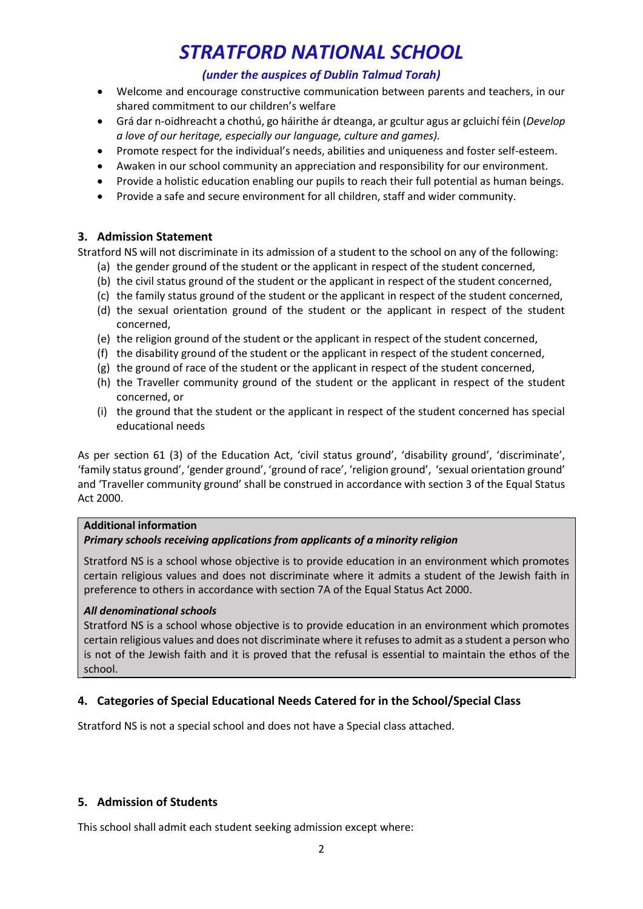## *(under the auspices of Dublin Talmud Torah)*

- Welcome and encourage constructive communication between parents and teachers, in our shared commitment to our children's welfare
- Grá dar n-oidhreacht a chothú, go háirithe ár dteanga, ar gcultur agus ar gcluichí féin (*Develop a love of our heritage, especially our language, culture and games).*
- Promote respect for the individual's needs, abilities and uniqueness and foster self-esteem.
- Awaken in our school community an appreciation and responsibility for our environment.
- Provide a holistic education enabling our pupils to reach their full potential as human beings.
- Provide a safe and secure environment for all children, staff and wider community.

### **3. Admission Statement**

Stratford NS will not discriminate in its admission of a student to the school on any of the following:

- (a) the gender ground of the student or the applicant in respect of the student concerned,
- (b) the civil status ground of the student or the applicant in respect of the student concerned,
- (c) the family status ground of the student or the applicant in respect of the student concerned,
- (d) the sexual orientation ground of the student or the applicant in respect of the student concerned,
- (e) the religion ground of the student or the applicant in respect of the student concerned,
- (f) the disability ground of the student or the applicant in respect of the student concerned,
- (g) the ground of race of the student or the applicant in respect of the student concerned,
- (h) the Traveller community ground of the student or the applicant in respect of the student concerned, or
- (i) the ground that the student or the applicant in respect of the student concerned has special educational needs

As per section 61 (3) of the Education Act, 'civil status ground', 'disability ground', 'discriminate', 'family status ground', 'gender ground', 'ground of race', 'religion ground', 'sexual orientation ground' and 'Traveller community ground' shall be construed in accordance with section 3 of the Equal Status Act 2000.

#### **Additional information**

#### *Primary schools receiving applications from applicants of a minority religion*

Stratford NS is a school whose objective is to provide education in an environment which promotes certain religious values and does not discriminate where it admits a student of the Jewish faith in preference to others in accordance with section 7A of the Equal Status Act 2000.

#### *All denominational schools*

Stratford NS is a school whose objective is to provide education in an environment which promotes certain religious values and does not discriminate where it refuses to admit as a student a person who is not of the Jewish faith and it is proved that the refusal is essential to maintain the ethos of the school.

### **4. Categories of Special Educational Needs Catered for in the School/Special Class**

Stratford NS is not a special school and does not have a Special class attached.

### **5. Admission of Students**

This school shall admit each student seeking admission except where: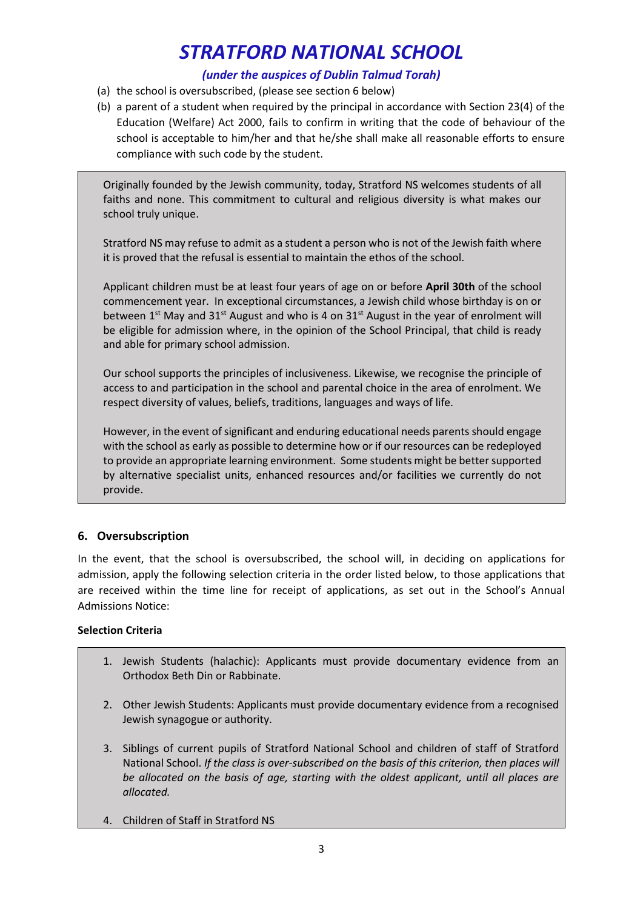## *(under the auspices of Dublin Talmud Torah)*

- (a) the school is oversubscribed, (please see section 6 below)
- (b) a parent of a student when required by the principal in accordance with Section 23(4) of the Education (Welfare) Act 2000, fails to confirm in writing that the code of behaviour of the school is acceptable to him/her and that he/she shall make all reasonable efforts to ensure compliance with such code by the student.

Originally founded by the Jewish community, today, Stratford NS welcomes students of all faiths and none. This commitment to cultural and religious diversity is what makes our school truly unique.

Stratford NS may refuse to admit as a student a person who is not of the Jewish faith where it is proved that the refusal is essential to maintain the ethos of the school.

Applicant children must be at least four years of age on or before **April 30th** of the school commencement year. In exceptional circumstances, a Jewish child whose birthday is on or between  $1^{st}$  May and 31<sup>st</sup> August and who is 4 on 31st August in the year of enrolment will be eligible for admission where, in the opinion of the School Principal, that child is ready and able for primary school admission.

Our school supports the principles of inclusiveness. Likewise, we recognise the principle of access to and participation in the school and parental choice in the area of enrolment. We respect diversity of values, beliefs, traditions, languages and ways of life.

However, in the event of significant and enduring educational needs parents should engage with the school as early as possible to determine how or if our resources can be redeployed to provide an appropriate learning environment. Some students might be better supported by alternative specialist units, enhanced resources and/or facilities we currently do not provide.

## **6. Oversubscription**

In the event, that the school is oversubscribed, the school will, in deciding on applications for admission, apply the following selection criteria in the order listed below, to those applications that are received within the time line for receipt of applications, as set out in the School's Annual Admissions Notice:

### **Selection Criteria**

- 1. Jewish Students (halachic): Applicants must provide documentary evidence from an Orthodox Beth Din or Rabbinate.
- 2. Other Jewish Students: Applicants must provide documentary evidence from a recognised Jewish synagogue or authority.
- 3. Siblings of current pupils of Stratford National School and children of staff of Stratford National School. *If the class is over-subscribed on the basis of this criterion, then places will be allocated on the basis of age, starting with the oldest applicant, until all places are allocated.*
- 4. Children of Staff in Stratford NS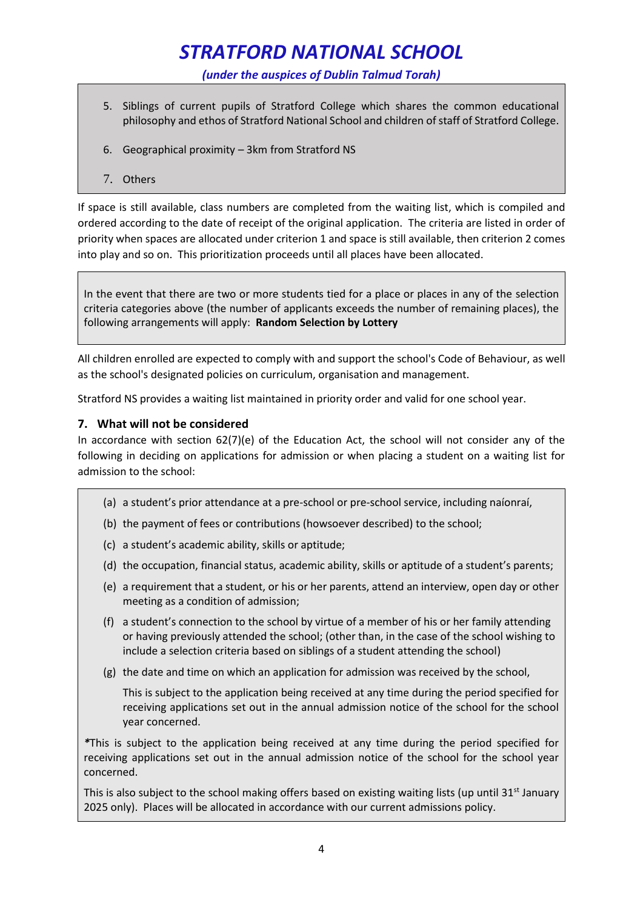*(under the auspices of Dublin Talmud Torah)*

- 5. Siblings of current pupils of Stratford College which shares the common educational philosophy and ethos of Stratford National School and children of staff of Stratford College.
- 6. Geographical proximity 3km from Stratford NS
- 7. Others

If space is still available, class numbers are completed from the waiting list, which is compiled and ordered according to the date of receipt of the original application. The criteria are listed in order of priority when spaces are allocated under criterion 1 and space is still available, then criterion 2 comes into play and so on. This prioritization proceeds until all places have been allocated.

In the event that there are two or more students tied for a place or places in any of the selection criteria categories above (the number of applicants exceeds the number of remaining places), the following arrangements will apply: **Random Selection by Lottery**

All children enrolled are expected to comply with and support the school's Code of Behaviour, as well as the school's designated policies on curriculum, organisation and management.

Stratford NS provides a waiting list maintained in priority order and valid for one school year.

### **7. What will not be considered**

In accordance with section 62(7)(e) of the Education Act, the school will not consider any of the following in deciding on applications for admission or when placing a student on a waiting list for admission to the school:

- (a) a student's prior attendance at a pre-school or pre-school service, including naíonraí,
- (b) the payment of fees or contributions (howsoever described) to the school;
- (c) a student's academic ability, skills or aptitude;
- (d) the occupation, financial status, academic ability, skills or aptitude of a student's parents;
- (e) a requirement that a student, or his or her parents, attend an interview, open day or other meeting as a condition of admission;
- (f) a student's connection to the school by virtue of a member of his or her family attending or having previously attended the school; (other than, in the case of the school wishing to include a selection criteria based on siblings of a student attending the school)
- (g) the date and time on which an application for admission was received by the school,

This is subject to the application being received at any time during the period specified for receiving applications set out in the annual admission notice of the school for the school year concerned.

*\**This is subject to the application being received at any time during the period specified for receiving applications set out in the annual admission notice of the school for the school year concerned.

This is also subject to the school making offers based on existing waiting lists (up until 31 $\rm{st}$  January 2025 only). Places will be allocated in accordance with our current admissions policy.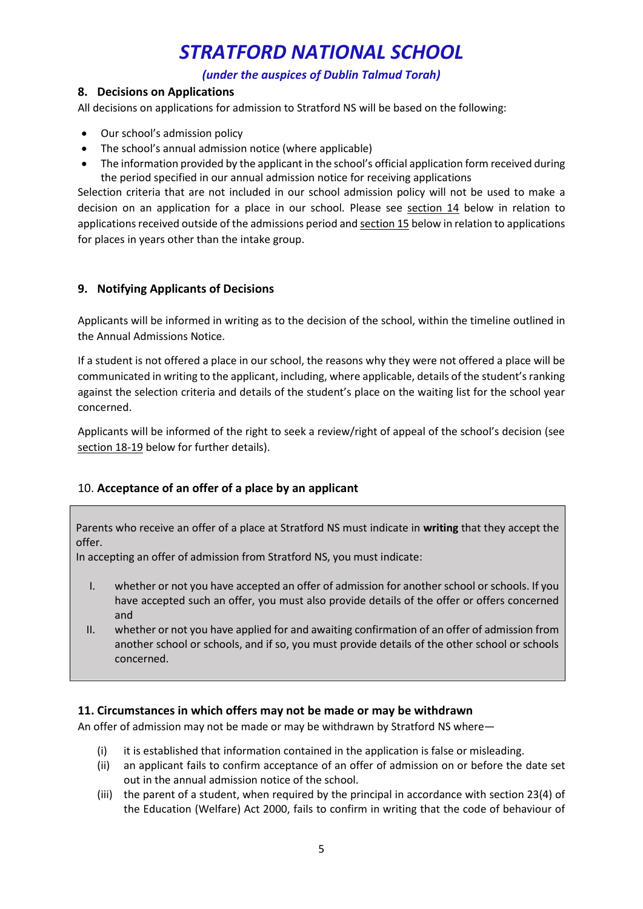## *(under the auspices of Dublin Talmud Torah)*

## **8. Decisions on Applications**

All decisions on applications for admission to Stratford NS will be based on the following:

- Our school's admission policy
- The school's annual admission notice (where applicable)
- The information provided by the applicant in the school's official application form received during the period specified in our annual admission notice for receiving applications

Selection criteria that are not included in our school admission policy will not be used to make a decision on an application for a place in our school. Please see section 14 below in relation to applications received outside of the admissions period and section 15 below in relation to applications for places in years other than the intake group.

## **9. Notifying Applicants of Decisions**

Applicants will be informed in writing as to the decision of the school, within the timeline outlined in the Annual Admissions Notice.

If a student is not offered a place in our school, the reasons why they were not offered a place will be communicated in writing to the applicant, including, where applicable, details of the student's ranking against the selection criteria and details of the student's place on the waiting list for the school year concerned.

Applicants will be informed of the right to seek a review/right of appeal of the school's decision (see section 18-19 below for further details).

## <span id="page-4-0"></span>10. **Acceptance of an offer of a place by an applicant**

Parents who receive an offer of a place at Stratford NS must indicate in **writing** that they accept the offer.

In accepting an offer of admission from Stratford NS, you must indicate:

- I. whether or not you have accepted an offer of admission for another school or schools. If you have accepted such an offer, you must also provide details of the offer or offers concerned and
- II. whether or not you have applied for and awaiting confirmation of an offer of admission from another school or schools, and if so, you must provide details of the other school or schools concerned.

## **11. Circumstances in which offers may not be made or may be withdrawn**

An offer of admission may not be made or may be withdrawn by Stratford NS where—

- (i) it is established that information contained in the application is false or misleading.
- (ii) an applicant fails to confirm acceptance of an offer of admission on or before the date set out in the annual admission notice of the school.
- (iii) the parent of a student, when required by the principal in accordance with section 23(4) of the Education (Welfare) Act 2000, fails to confirm in writing that the code of behaviour of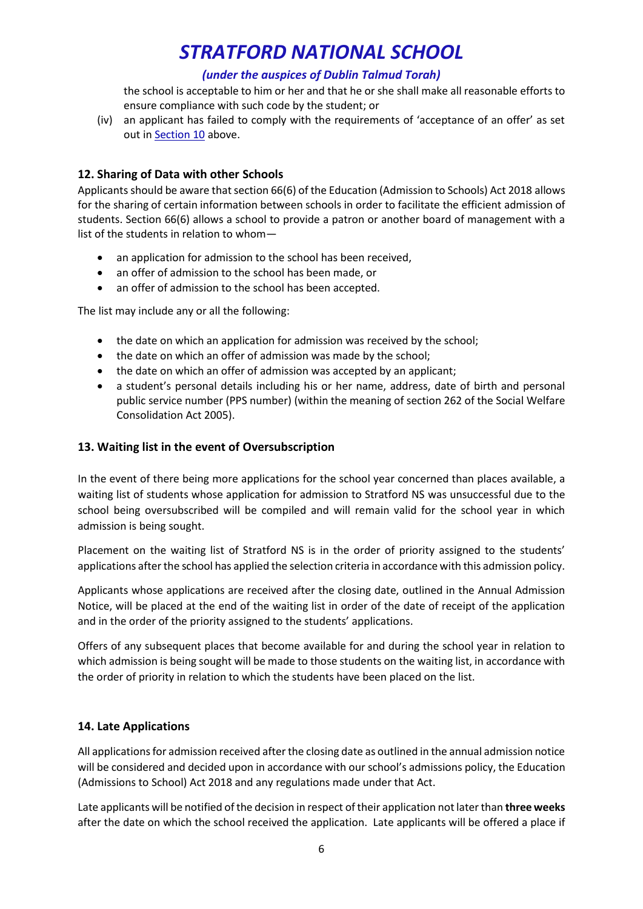## *(under the auspices of Dublin Talmud Torah)*

the school is acceptable to him or her and that he or she shall make all reasonable efforts to ensure compliance with such code by the student; or

(iv) an applicant has failed to comply with the requirements of 'acceptance of an offer' as set out in **Section 10** above.

## **12. Sharing of Data with other Schools**

Applicants should be aware that section 66(6) of the Education (Admission to Schools) Act 2018 allows for the sharing of certain information between schools in order to facilitate the efficient admission of students. Section 66(6) allows a school to provide a patron or another board of management with a list of the students in relation to whom—

- an application for admission to the school has been received.
- an offer of admission to the school has been made, or
- an offer of admission to the school has been accepted.

The list may include any or all the following:

- the date on which an application for admission was received by the school;
- the date on which an offer of admission was made by the school;
- the date on which an offer of admission was accepted by an applicant;
- a student's personal details including his or her name, address, date of birth and personal public service number (PPS number) (within the meaning of section 262 of the Social Welfare Consolidation Act 2005).

### **13. Waiting list in the event of Oversubscription**

In the event of there being more applications for the school year concerned than places available, a waiting list of students whose application for admission to Stratford NS was unsuccessful due to the school being oversubscribed will be compiled and will remain valid for the school year in which admission is being sought.

Placement on the waiting list of Stratford NS is in the order of priority assigned to the students' applications after the school has applied the selection criteria in accordance with this admission policy.

Applicants whose applications are received after the closing date, outlined in the Annual Admission Notice, will be placed at the end of the waiting list in order of the date of receipt of the application and in the order of the priority assigned to the students' applications.

Offers of any subsequent places that become available for and during the school year in relation to which admission is being sought will be made to those students on the waiting list, in accordance with the order of priority in relation to which the students have been placed on the list.

### **14. Late Applications**

All applications for admission received after the closing date as outlined in the annual admission notice will be considered and decided upon in accordance with our school's admissions policy, the Education (Admissions to School) Act 2018 and any regulations made under that Act.

Late applicants will be notified of the decision in respect of their application not later than **three weeks**  after the date on which the school received the application. Late applicants will be offered a place if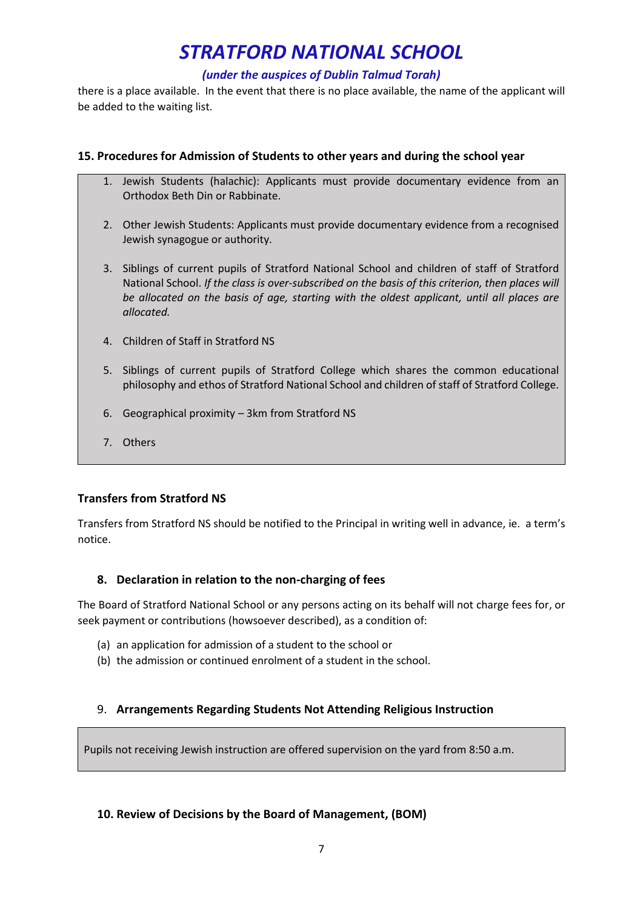## *(under the auspices of Dublin Talmud Torah)*

there is a place available. In the event that there is no place available, the name of the applicant will be added to the waiting list.

## **15. Procedures for Admission of Students to other years and during the school year**

- 1. Jewish Students (halachic): Applicants must provide documentary evidence from an Orthodox Beth Din or Rabbinate.
- 2. Other Jewish Students: Applicants must provide documentary evidence from a recognised Jewish synagogue or authority.
- 3. Siblings of current pupils of Stratford National School and children of staff of Stratford National School. *If the class is over-subscribed on the basis of this criterion, then places will be allocated on the basis of age, starting with the oldest applicant, until all places are allocated.*
- 4. Children of Staff in Stratford NS
- 5. Siblings of current pupils of Stratford College which shares the common educational philosophy and ethos of Stratford National School and children of staff of Stratford College.
- 6. Geographical proximity 3km from Stratford NS
- 7. Others

## **Transfers from Stratford NS**

Transfers from Stratford NS should be notified to the Principal in writing well in advance, ie. a term's notice.

### **8. Declaration in relation to the non-charging of fees**

The Board of Stratford National School or any persons acting on its behalf will not charge fees for, or seek payment or contributions (howsoever described), as a condition of:

- (a) an application for admission of a student to the school or
- (b) the admission or continued enrolment of a student in the school.

## 9. **Arrangements Regarding Students Not Attending Religious Instruction**

Pupils not receiving Jewish instruction are offered supervision on the yard from 8:50 a.m.

### **10. Review of Decisions by the Board of Management, (BOM)**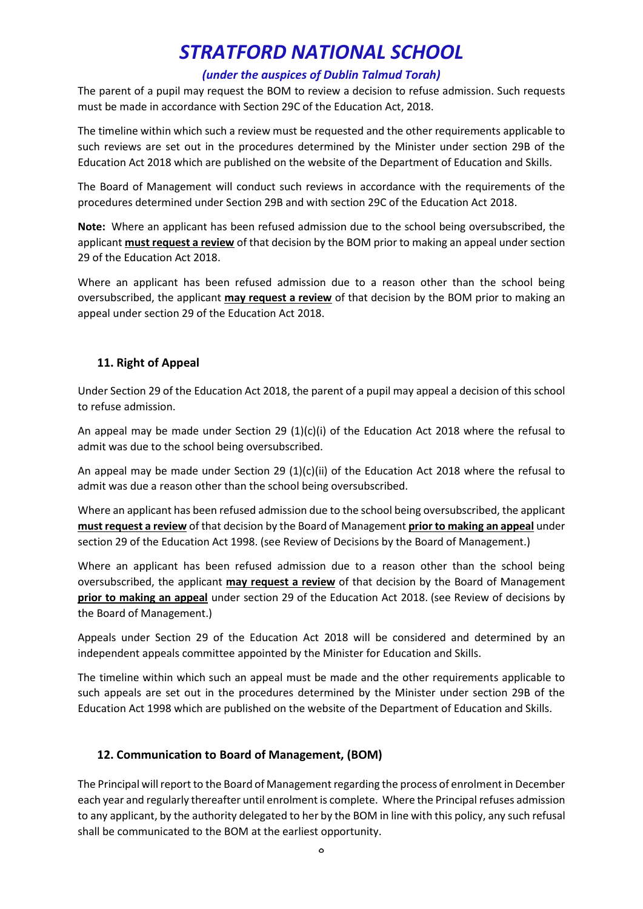## *(under the auspices of Dublin Talmud Torah)*

The parent of a pupil may request the BOM to review a decision to refuse admission. Such requests must be made in accordance with Section 29C of the Education Act, 2018.

The timeline within which such a review must be requested and the other requirements applicable to such reviews are set out in the procedures determined by the Minister under section 29B of the Education Act 2018 which are published on the website of the Department of Education and Skills.

The Board of Management will conduct such reviews in accordance with the requirements of the procedures determined under Section 29B and with section 29C of the Education Act 2018.

**Note:** Where an applicant has been refused admission due to the school being oversubscribed, the applicant **must request a review** of that decision by the BOM prior to making an appeal under section 29 of the Education Act 2018.

Where an applicant has been refused admission due to a reason other than the school being oversubscribed, the applicant **may request a review** of that decision by the BOM prior to making an appeal under section 29 of the Education Act 2018.

## **11. Right of Appeal**

Under Section 29 of the Education Act 2018, the parent of a pupil may appeal a decision of this school to refuse admission.

An appeal may be made under Section 29  $(1)(c)(i)$  of the Education Act 2018 where the refusal to admit was due to the school being oversubscribed.

An appeal may be made under Section 29  $(1)(c)(ii)$  of the Education Act 2018 where the refusal to admit was due a reason other than the school being oversubscribed.

Where an applicant has been refused admission due to the school being oversubscribed, the applicant **must request a review** of that decision by the Board of Management **prior to making an appeal** under section 29 of the Education Act 1998. (see Review of Decisions by the Board of Management.)

Where an applicant has been refused admission due to a reason other than the school being oversubscribed, the applicant **may request a review** of that decision by the Board of Management **prior to making an appeal** under section 29 of the Education Act 2018. (see Review of decisions by the Board of Management.)

Appeals under Section 29 of the Education Act 2018 will be considered and determined by an independent appeals committee appointed by the Minister for Education and Skills.

The timeline within which such an appeal must be made and the other requirements applicable to such appeals are set out in the procedures determined by the Minister under section 29B of the Education Act 1998 which are published on the website of the Department of Education and Skills.

### **12. Communication to Board of Management, (BOM)**

The Principal will report to the Board of Management regarding the process of enrolment in December each year and regularly thereafter until enrolment is complete. Where the Principal refuses admission to any applicant, by the authority delegated to her by the BOM in line with this policy, any such refusal shall be communicated to the BOM at the earliest opportunity.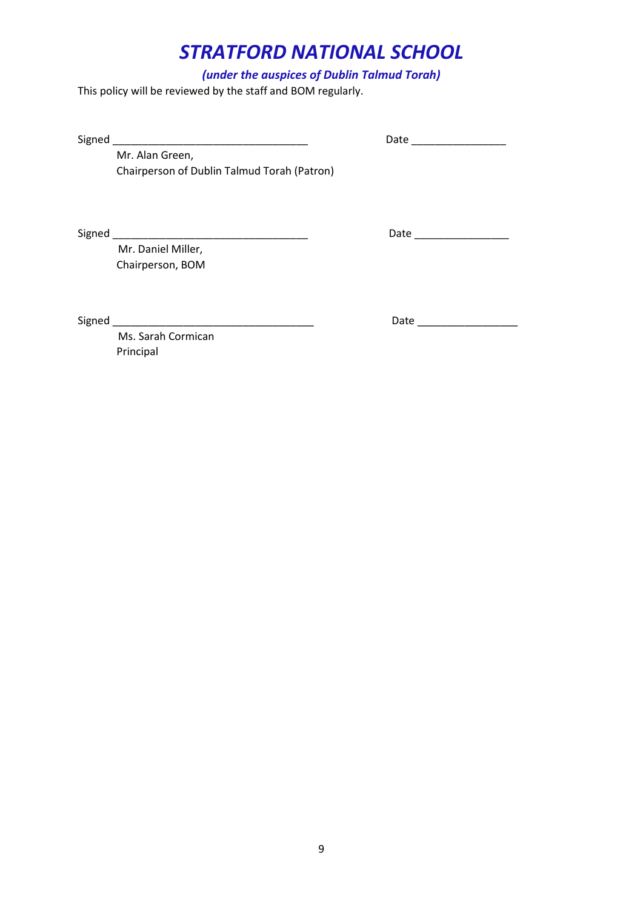## *(under the auspices of Dublin Talmud Torah)*

This policy will be reviewed by the staff and BOM regularly.

Signed \_\_\_\_\_\_\_\_\_\_\_\_\_\_\_\_\_\_\_\_\_\_\_\_\_\_\_\_\_\_\_\_\_ Date \_\_\_\_\_\_\_\_\_\_\_\_\_\_\_\_

Mr. Alan Green, Chairperson of Dublin Talmud Torah (Patron)

Signed \_\_\_\_\_\_\_\_\_\_\_\_\_\_\_\_\_\_\_\_\_\_\_\_\_\_\_\_\_\_\_\_\_ Date \_\_\_\_\_\_\_\_\_\_\_\_\_\_\_\_

 Mr. Daniel Miller, Chairperson, BOM

 Ms. Sarah Cormican Principal

Signed \_\_\_\_\_\_\_\_\_\_\_\_\_\_\_\_\_\_\_\_\_\_\_\_\_\_\_\_\_\_\_\_\_\_ Date \_\_\_\_\_\_\_\_\_\_\_\_\_\_\_\_\_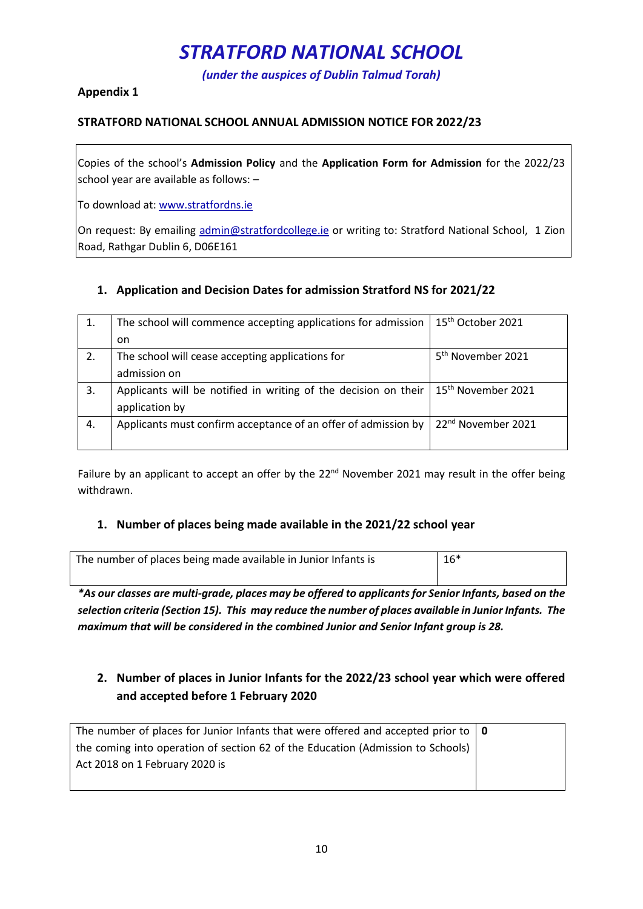*(under the auspices of Dublin Talmud Torah)*

## **Appendix 1**

### **STRATFORD NATIONAL SCHOOL ANNUAL ADMISSION NOTICE FOR 2022/23**

Copies of the school's **Admission Policy** and the **Application Form for Admission** for the 2022/23 school year are available as follows: –

To download at: www.stratfordns.ie

On request: By emailing admin@stratfordcollege.ie or writing to: Stratford National School, 1 Zion Road, Rathgar Dublin 6, D06E161

## **1. Application and Decision Dates for admission Stratford NS for 2021/22**

|    | The school will commence accepting applications for admission   | 15 <sup>th</sup> October 2021  |
|----|-----------------------------------------------------------------|--------------------------------|
|    | on.                                                             |                                |
| 2. | The school will cease accepting applications for                | 5 <sup>th</sup> November 2021  |
|    | admission on                                                    |                                |
| 3. | Applicants will be notified in writing of the decision on their | 15 <sup>th</sup> November 2021 |
|    | application by                                                  |                                |
| 4. | Applicants must confirm acceptance of an offer of admission by  | 22 <sup>nd</sup> November 2021 |
|    |                                                                 |                                |

Failure by an applicant to accept an offer by the 22<sup>nd</sup> November 2021 may result in the offer being withdrawn.

### **1. Number of places being made available in the 2021/22 school year**

| The number of places being made available in Junior Infants is | $16*$ |
|----------------------------------------------------------------|-------|
|                                                                |       |

*\*As our classes are multi-grade, places may be offered to applicants for Senior Infants, based on the selection criteria (Section 15). This may reduce the number of places available in Junior Infants. The maximum that will be considered in the combined Junior and Senior Infant group is 28.*

## **2. Number of places in Junior Infants for the 2022/23 school year which were offered and accepted before 1 February 2020**

| The number of places for Junior Infants that were offered and accepted prior to $\vert \mathbf{0} \vert$ |  |
|----------------------------------------------------------------------------------------------------------|--|
| the coming into operation of section 62 of the Education (Admission to Schools)                          |  |
| Act 2018 on 1 February 2020 is                                                                           |  |
|                                                                                                          |  |